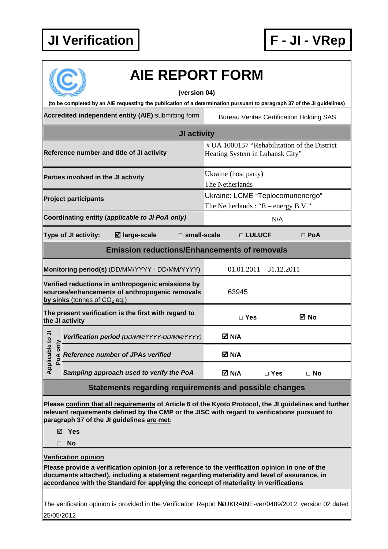

| <b>AIE REPORT FORM</b>                                                                                                                                                                                                                                                                                                 |                                                                                 |                           |                                                 |  |
|------------------------------------------------------------------------------------------------------------------------------------------------------------------------------------------------------------------------------------------------------------------------------------------------------------------------|---------------------------------------------------------------------------------|---------------------------|-------------------------------------------------|--|
| (version 04)                                                                                                                                                                                                                                                                                                           |                                                                                 |                           |                                                 |  |
| (to be completed by an AIE requesting the publication of a determination pursuant to paragraph 37 of the JI guidelines)                                                                                                                                                                                                |                                                                                 |                           |                                                 |  |
| Accredited independent entity (AIE) submitting form                                                                                                                                                                                                                                                                    |                                                                                 |                           | <b>Bureau Veritas Certification Holding SAS</b> |  |
| <b>JI activity</b>                                                                                                                                                                                                                                                                                                     |                                                                                 |                           |                                                 |  |
| Reference number and title of JI activity                                                                                                                                                                                                                                                                              | # UA 1000157 "Rehabilitation of the District<br>Heating System in Luhansk City" |                           |                                                 |  |
| Parties involved in the JI activity                                                                                                                                                                                                                                                                                    | Ukraine (host party)<br>The Netherlands                                         |                           |                                                 |  |
| <b>Project participants</b>                                                                                                                                                                                                                                                                                            | Ukraine: LCME "Teplocomunenergo"<br>The Netherlands : " $E$ – energy B.V."      |                           |                                                 |  |
| Coordinating entity (applicable to JI PoA only)                                                                                                                                                                                                                                                                        |                                                                                 | N/A                       |                                                 |  |
| ⊠ large-scale<br><b>Type of JI activity:</b><br>$\Box$ small-scale                                                                                                                                                                                                                                                     |                                                                                 | □ LULUCF                  | $\Box$ PoA                                      |  |
| <b>Emission reductions/Enhancements of removals</b>                                                                                                                                                                                                                                                                    |                                                                                 |                           |                                                 |  |
| Monitoring period(s) (DD/MM/YYYY - DD/MM/YYYY)                                                                                                                                                                                                                                                                         |                                                                                 | $01.01.2011 - 31.12.2011$ |                                                 |  |
| Verified reductions in anthropogenic emissions by<br>sources/enhancements of anthropogenic removals<br>by sinks (tonnes of $CO2$ eq.)                                                                                                                                                                                  | 63945                                                                           |                           |                                                 |  |
| The present verification is the first with regard to<br>the JI activity                                                                                                                                                                                                                                                | $\Box$ Yes                                                                      |                           | ⊠ No                                            |  |
| $\frac{1}{2}$<br>Verification period (DD/MM/YYYY-DD/MM/YYYY)                                                                                                                                                                                                                                                           | M N/A                                                                           |                           |                                                 |  |
| only<br>Applicab<br><b>Reference number of JPAs verified</b><br>PoA                                                                                                                                                                                                                                                    | M N/A                                                                           |                           |                                                 |  |
| Sampling approach used to verify the PoA                                                                                                                                                                                                                                                                               | M N/A                                                                           | $\Box$ Yes                | $\Box$ No                                       |  |
| Statements regarding requirements and possible changes                                                                                                                                                                                                                                                                 |                                                                                 |                           |                                                 |  |
| Please confirm that all requirements of Article 6 of the Kyoto Protocol, the JI guidelines and further<br>relevant requirements defined by the CMP or the JISC with regard to verifications pursuant to<br>paragraph 37 of the JI guidelines are met:<br>⊠ Yes<br><b>No</b><br>П                                       |                                                                                 |                           |                                                 |  |
| <b>Verification opinion</b><br>Please provide a verification opinion (or a reference to the verification opinion in one of the<br>documents attached), including a statement regarding materiality and level of assurance, in<br>accordance with the Standard for applying the concept of materiality in verifications |                                                                                 |                           |                                                 |  |
| The verification opinion is provided in the Verification Report NºUKRAINE-ver/0489/2012, version 02 dated<br>25/05/2012                                                                                                                                                                                                |                                                                                 |                           |                                                 |  |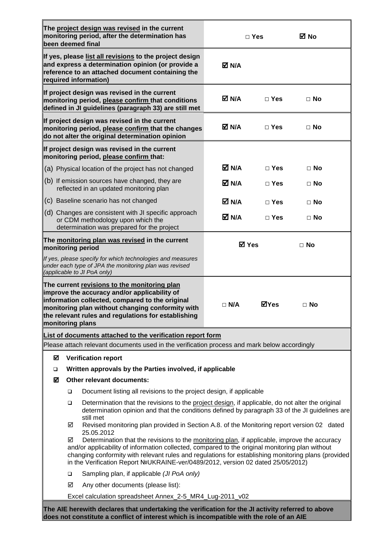|                                                                     | The project design was revised in the current<br>monitoring period, after the determination has<br>been deemed final                                                                                                                                                                                                                                                                            |              | $\Box$ Yes   | ⊠ No      |
|---------------------------------------------------------------------|-------------------------------------------------------------------------------------------------------------------------------------------------------------------------------------------------------------------------------------------------------------------------------------------------------------------------------------------------------------------------------------------------|--------------|--------------|-----------|
|                                                                     | If yes, please list all revisions to the project design<br>and express a determination opinion (or provide a<br>reference to an attached document containing the<br>required information)                                                                                                                                                                                                       | M N/A        |              |           |
|                                                                     | If project design was revised in the current<br>monitoring period, please confirm that conditions<br>defined in JI guidelines (paragraph 33) are still met                                                                                                                                                                                                                                      | M N/A        | $\sqcap$ Yes | $\Box$ No |
|                                                                     | If project design was revised in the current<br>monitoring period, please confirm that the changes<br>do not alter the original determination opinion                                                                                                                                                                                                                                           | M N/A        | $\Box$ Yes   | $\Box$ No |
|                                                                     | If project design was revised in the current<br>monitoring period, please confirm that:                                                                                                                                                                                                                                                                                                         |              |              |           |
|                                                                     | (a) Physical location of the project has not changed                                                                                                                                                                                                                                                                                                                                            | M N⊿         | $\sqcap$ Yes | $\Box$ No |
|                                                                     | (b) If emission sources have changed, they are<br>reflected in an updated monitoring plan                                                                                                                                                                                                                                                                                                       | M N/A        | $\Box$ Yes   | $\Box$ No |
|                                                                     | (c) Baseline scenario has not changed                                                                                                                                                                                                                                                                                                                                                           | M N/A        | $\Box$ Yes   | $\Box$ No |
|                                                                     | (d) Changes are consistent with JI specific approach<br>or CDM methodology upon which the<br>determination was prepared for the project                                                                                                                                                                                                                                                         | M N/A        | $\Box$ Yes   | $\Box$ No |
| The monitoring plan was revised in the current<br>monitoring period |                                                                                                                                                                                                                                                                                                                                                                                                 | <b>⊠</b> Yes |              | $\Box$ No |
|                                                                     | If yes, please specify for which technologies and measures<br>under each type of JPA the monitoring plan was revised<br>(applicable to JI PoA only)                                                                                                                                                                                                                                             |              |              |           |
|                                                                     | The current revisions to the monitoring plan<br>improve the accuracy and/or applicability of<br>information collected, compared to the original<br>monitoring plan without changing conformity with<br>the relevant rules and regulations for establishing<br>monitoring plans                                                                                                                  | $\Box$ N/A   | ⊠Yes         | $\Box$ No |
|                                                                     | List of documents attached to the verification report form                                                                                                                                                                                                                                                                                                                                      |              |              |           |
|                                                                     | Please attach relevant documents used in the verification process and mark below accordingly                                                                                                                                                                                                                                                                                                    |              |              |           |
| ☑                                                                   | <b>Verification report</b>                                                                                                                                                                                                                                                                                                                                                                      |              |              |           |
| □                                                                   | Written approvals by the Parties involved, if applicable                                                                                                                                                                                                                                                                                                                                        |              |              |           |
| ☑                                                                   | <b>Other relevant documents:</b>                                                                                                                                                                                                                                                                                                                                                                |              |              |           |
|                                                                     | Document listing all revisions to the project design, if applicable<br>□                                                                                                                                                                                                                                                                                                                        |              |              |           |
|                                                                     | Determination that the revisions to the project design, if applicable, do not alter the original<br>$\Box$<br>determination opinion and that the conditions defined by paragraph 33 of the JI guidelines are<br>still met<br>Revised monitoring plan provided in Section A.8. of the Monitoring report version 02 dated<br>☑                                                                    |              |              |           |
|                                                                     | 25.05.2012                                                                                                                                                                                                                                                                                                                                                                                      |              |              |           |
|                                                                     | Determination that the revisions to the monitoring plan, if applicable, improve the accuracy<br>☑<br>and/or applicability of information collected, compared to the original monitoring plan without<br>changing conformity with relevant rules and regulations for establishing monitoring plans (provided<br>in the Verification Report NºUKRAINE-ver/0489/2012, version 02 dated 25/05/2012) |              |              |           |
|                                                                     | Sampling plan, if applicable (JI PoA only)<br>□                                                                                                                                                                                                                                                                                                                                                 |              |              |           |
|                                                                     | Any other documents (please list):<br>☑                                                                                                                                                                                                                                                                                                                                                         |              |              |           |
|                                                                     | Excel calculation spreadsheet Annex_2-5_MR4_Lug-2011_v02                                                                                                                                                                                                                                                                                                                                        |              |              |           |
|                                                                     | The AIE herewith declares that undertaking the verification for the JI activity referred to above<br>does not constitute a conflict of interest which is incompatible with the role of an AIE                                                                                                                                                                                                   |              |              |           |